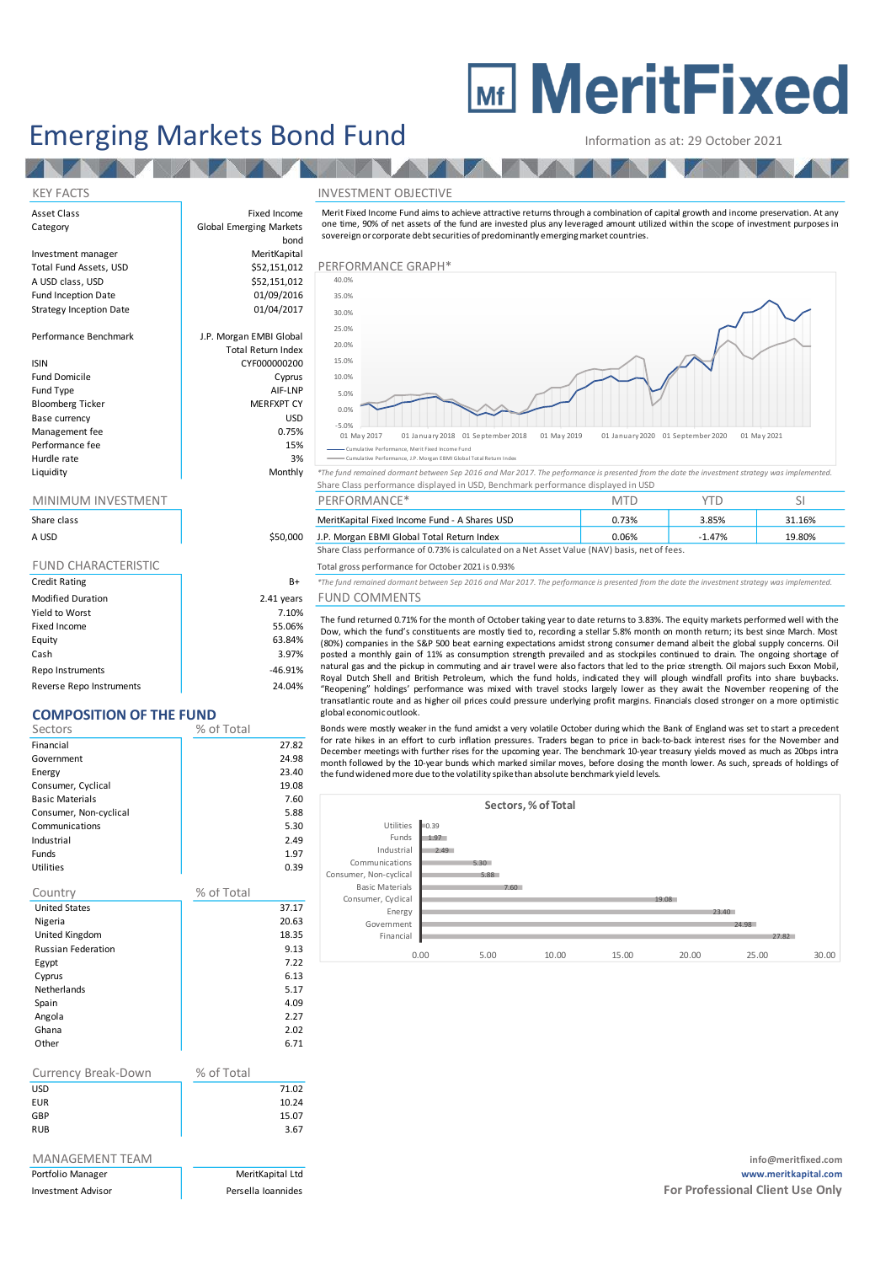# **MEDITY MeritFixed**

## Emerging Markets Bond Fund<br>
Information as at: 29 October 2021

Total Return Index

#### KEY FACTS **INVESTMENT OBJECTIVE**

Asset Class Fixed Income and Income income in the Income in the Income in the Income in the Income in the Income in the Income in the Income in the Income in the Income in the Income in the Income in the Income in the Inco Category **Global Emerging Markets** Investment manager

**TANK** 

Total Fund Assets, USD \$ A USD class, USD **\$2,151,000 Performance** Graphend Graphend S Fund Inception Date Strategy Inception Date

Performance Benchmark J.P. Morgan EMBI Global

#### ISIN CYF000000200

Fund Domicile **Cyprus** Fund Type AIF-LNP Bloomberg Ticker **MERFXPT CY** Base currency and the state of the USD USD USD Management fee between the contraction of the contraction of the contraction of the contraction of the contraction of the contraction of the contraction of the contraction of the contraction of the contraction of the contr Performance fee 15% Hurdle rate and the state of the 3% of the 3% of the 3% of the 3% of the 3% of the 3% of the 3% of the 3% of the 3% of the 3% of the 3% of the 3% of the 3% of the 3% of the 3% of the 3% of the 3% of the 3% of the 3% of the

| Share class                |            |
|----------------------------|------------|
| A USD                      | \$50,000   |
|                            |            |
| <b>FUND CHARACTERISTIC</b> |            |
| <b>Credit Rating</b>       | $B+$       |
| <b>Modified Duration</b>   | 2.41 years |
| Yield to Worst             | 7.10%      |
| Fixed Income               | 55.06%     |
| Equity                     | 63.84%     |
| Cash                       | 3.97%      |

Repo Instruments and the set of the set of the set of the set of the set of the set of the set of the set of the set of the set of the set of the set of the set of the set of the set of the set of the set of the set of the Reverse Repo Instruments 24.04%

### **COMPOSITION OF THE FUND**

| CONTOSHION OF THE FOND    |            |       |
|---------------------------|------------|-------|
| Sectors                   | % of Total |       |
| Financial                 |            | 27.82 |
| Government                |            | 24.98 |
| Energy                    |            | 23.40 |
| Consumer, Cyclical        |            | 19.08 |
| <b>Basic Materials</b>    |            | 7.60  |
| Consumer, Non-cyclical    |            | 5.88  |
| Communications            |            | 5.30  |
| Industrial                |            | 2.49  |
| Funds                     |            | 1.97  |
| <b>Utilities</b>          |            | 0.39  |
| Country                   | % of Total |       |
| <b>United States</b>      |            | 37.17 |
| Nigeria                   |            | 20.63 |
| United Kingdom            |            | 18.35 |
| <b>Russian Federation</b> |            | 9.13  |
| Egypt                     |            | 7.22  |
| Cyprus                    |            | 6.13  |
| <b>Netherlands</b>        |            | 5.17  |
| Spain                     |            | 4.09  |
| Angola                    |            | 2.27  |
| Ghana                     |            | 2.02  |
| Other                     |            | 6.71  |
| Currency Break-Down       | % of Total |       |
| <b>USD</b>                |            | 71.02 |
| <b>EUR</b>                |            | 10.24 |
| GBP                       |            | 15.07 |
| <b>RUB</b>                |            | 3.67  |
|                           |            |       |
| MANAGEMENT TFAM           |            |       |

| xed Income<br>ng Markets<br>bond | Merit Fixed Income Fund aims to achieve attractive returns through a combination of capital growth and income preservation. At any<br>one time, 90% of net assets of the fund are invested plus any leveraged amount utilized within the scope of investment purposes in<br>sovereign or corporate debt securities of predominantly emerging market countries. |  |  |  |  |
|----------------------------------|----------------------------------------------------------------------------------------------------------------------------------------------------------------------------------------------------------------------------------------------------------------------------------------------------------------------------------------------------------------|--|--|--|--|
| <b>AeritKapital</b>              |                                                                                                                                                                                                                                                                                                                                                                |  |  |  |  |
| 52,151,012                       | PERFORMANCE GRAPH*                                                                                                                                                                                                                                                                                                                                             |  |  |  |  |
| 52.151.012                       | 40.0%                                                                                                                                                                                                                                                                                                                                                          |  |  |  |  |
| 01/09/2016                       | 35.0%                                                                                                                                                                                                                                                                                                                                                          |  |  |  |  |
| 01/04/2017                       | 30.0%                                                                                                                                                                                                                                                                                                                                                          |  |  |  |  |
|                                  | 25.001                                                                                                                                                                                                                                                                                                                                                         |  |  |  |  |



Liquidity Monthly *\*The fund remained dormant between Sep 2016 and Mar 2017. The performance is presented from the date the investment strategy was implemented.* Share Class performance displayed in USD, Benchmark performance displayed in USD MINIMUM INVESTMENT THE RESERVE PERFORMANCE\* THE PERSON SILL SEE A RESERVE TO MTD TO SILL SITUATION SILL SEE A ST

| Share class                                                                                   |          | MeritKapital Fixed Income Fund - A Shares USD | 0.73% | 3.85% | 31.16% |
|-----------------------------------------------------------------------------------------------|----------|-----------------------------------------------|-------|-------|--------|
| A USD                                                                                         | \$50,000 | J.P. Morgan EBMI Global Total Return Index    | 0.06% | '.47% | 19.80% |
| Share Class performance of 0.73% is calculated on a Net Asset Value (NAV) basis, net of fees. |          |                                               |       |       |        |

Total gross performance for October 2021 is 0.93%

B+ \*The fund remained dormant between Sep 2016 and Mar 2017. The performance is presented from the date the investment strategy was implemented

#### ears FUND COMMENTS

The fund returned 0.71% for the month of October taking year to date returns to 3.83%. The equity markets performed well with the Dow, which the fund's constituents are mostly tied to, recording <sup>a</sup> stellar 5.8% month on month return; its best since March. Most (80%) companies in the S&P 500 beat earning expectations amidst strong consumer demand albeit the global supply concerns. Oil posted <sup>a</sup> monthly gain of 11% as consumption strength prevailed and as stockpiles continued to drain. The ongoing shortage of natural gas and the pickup in commuting and air travel were also factors that led to the price strength. Oil majors such Exxon Mobil, Royal Dutch Shell and British Petroleum, which the fund holds, indicated they will plough windfall profits into share buybacks. "Reopening" holdings' performance was mixed with travel stocks largely lower as they await the November reopening of the<br>transatlantic route and as higher oil prices could pressure underlying profit margins. Financials clo global economicoutlook.

Bonds were mostly weaker in the fund amidst a very volatile October during which the Bank of England was set to start a precedent for rate hikes in an effort to curb inflation pressures. Traders began to price in back-to-back interest rises for the November and December meetings with further rises for the upcoming year. The benchmark 10-year treasury yields moved as much as 20bps intra<br>month followed by the 10-year bunds which marked similar moves, before dosing the month lower. the fundwidenedmore due to the volatility spikethan absolute benchmark yield levels.



#### info@meritfixed.com Portfolio Manager **MeritKapital Ltd** MeritKapital Ltd **www.meritkapital.com** Investment Advisor **Formulates** Persella Ioannides **Formulates For Professional Client Use Only Formulates For Professional Client Use Only**